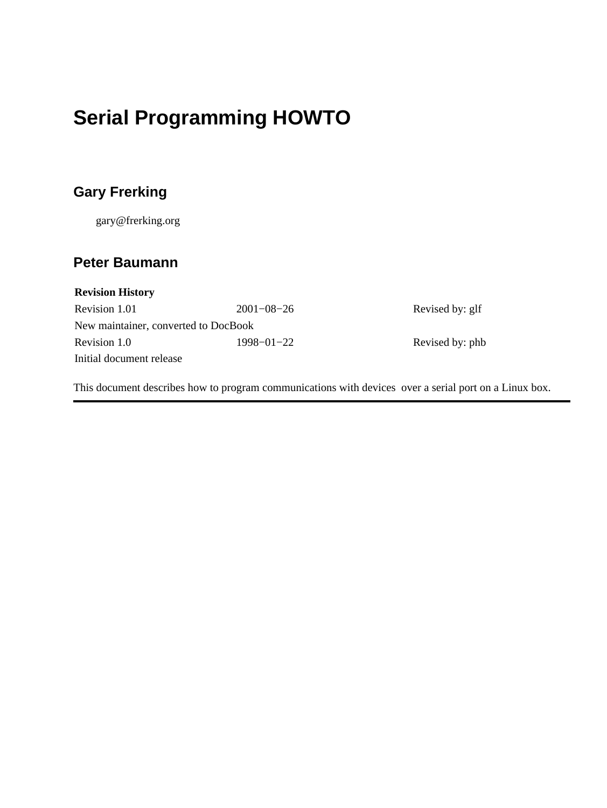## **Serial Programming HOWTO**

### **Gary Frerking**

gary@frerking.org

#### **Peter Baumann**

| <b>Revision History</b>              |                  |                 |  |
|--------------------------------------|------------------|-----------------|--|
| Revision 1.01                        | $2001 - 08 - 26$ | Revised by: glf |  |
| New maintainer, converted to DocBook |                  |                 |  |
| Revision 1.0                         | $1998 - 01 - 22$ | Revised by: phb |  |
| Initial document release             |                  |                 |  |

This document describes how to program communications with devices over a serial port on a Linux box.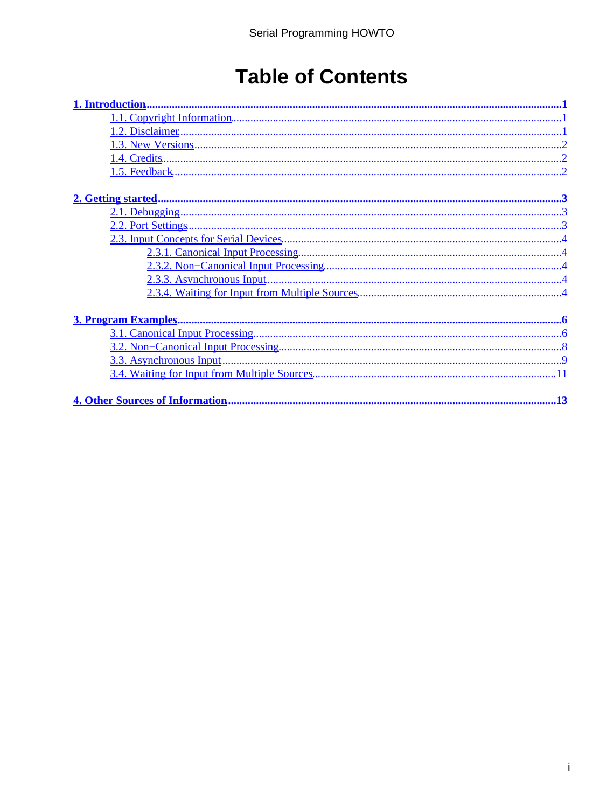## **Table of Contents**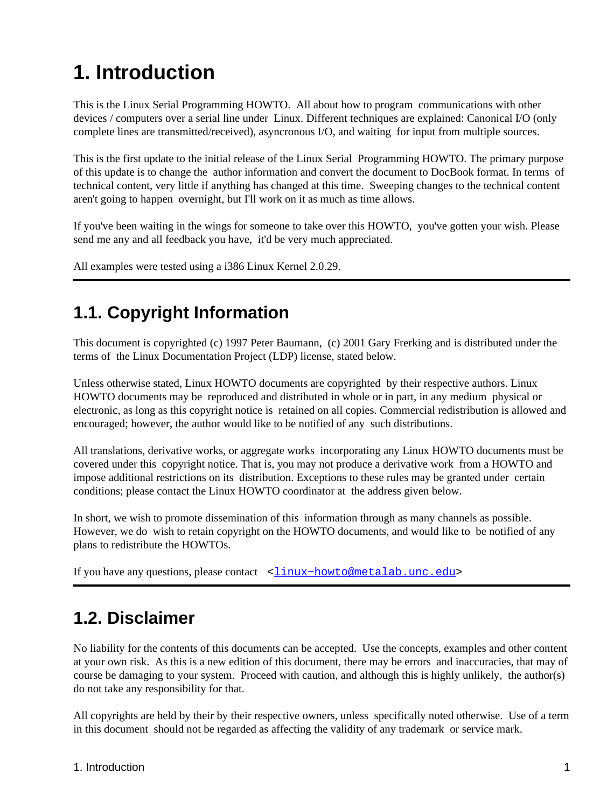# <span id="page-2-0"></span>**1. Introduction**

This is the Linux Serial Programming HOWTO. All about how to program communications with other devices / computers over a serial line under Linux. Different techniques are explained: Canonical I/O (only complete lines are transmitted/received), asyncronous I/O, and waiting for input from multiple sources.

This is the first update to the initial release of the Linux Serial Programming HOWTO. The primary purpose of this update is to change the author information and convert the document to DocBook format. In terms of technical content, very little if anything has changed at this time. Sweeping changes to the technical content aren't going to happen overnight, but I'll work on it as much as time allows.

If you've been waiting in the wings for someone to take over this HOWTO, you've gotten your wish. Please send me any and all feedback you have, it'd be very much appreciated.

All examples were tested using a i386 Linux Kernel 2.0.29.

## **1.1. Copyright Information**

This document is copyrighted (c) 1997 Peter Baumann, (c) 2001 Gary Frerking and is distributed under the terms of the Linux Documentation Project (LDP) license, stated below.

Unless otherwise stated, Linux HOWTO documents are copyrighted by their respective authors. Linux HOWTO documents may be reproduced and distributed in whole or in part, in any medium physical or electronic, as long as this copyright notice is retained on all copies. Commercial redistribution is allowed and encouraged; however, the author would like to be notified of any such distributions.

All translations, derivative works, or aggregate works incorporating any Linux HOWTO documents must be covered under this copyright notice. That is, you may not produce a derivative work from a HOWTO and impose additional restrictions on its distribution. Exceptions to these rules may be granted under certain conditions; please contact the Linux HOWTO coordinator at the address given below.

In short, we wish to promote dissemination of this information through as many channels as possible. However, we do wish to retain copyright on the HOWTO documents, and would like to be notified of any plans to redistribute the HOWTOs.

If you have any questions, please contact <linux-howto@metalab.unc.edu>

## **1.2. Disclaimer**

No liability for the contents of this documents can be accepted. Use the concepts, examples and other content at your own risk. As this is a new edition of this document, there may be errors and inaccuracies, that may of course be damaging to your system. Proceed with caution, and although this is highly unlikely, the author(s) do not take any responsibility for that.

All copyrights are held by their by their respective owners, unless specifically noted otherwise. Use of a term in this document should not be regarded as affecting the validity of any trademark or service mark.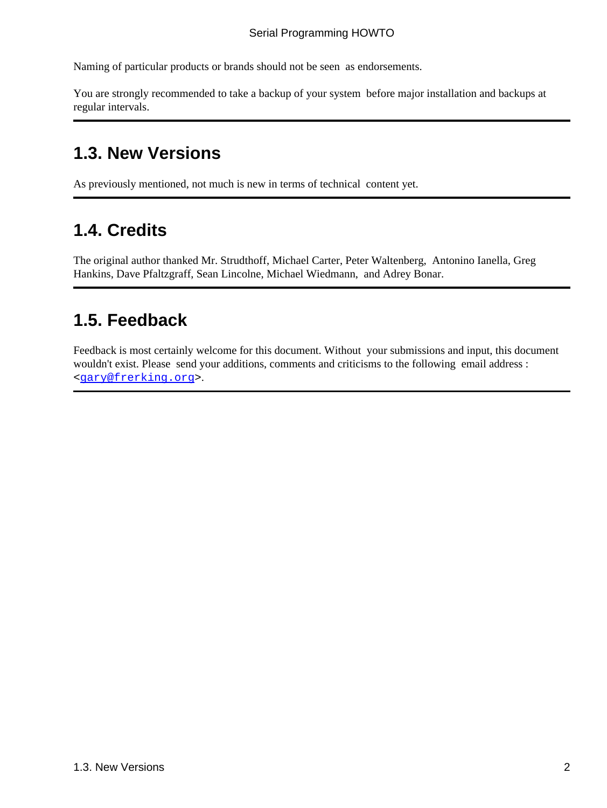<span id="page-3-0"></span>Naming of particular products or brands should not be seen as endorsements.

You are strongly recommended to take a backup of your system before major installation and backups at regular intervals.

## **1.3. New Versions**

As previously mentioned, not much is new in terms of technical content yet.

## **1.4. Credits**

The original author thanked Mr. Strudthoff, Michael Carter, Peter Waltenberg, Antonino Ianella, Greg Hankins, Dave Pfaltzgraff, Sean Lincolne, Michael Wiedmann, and Adrey Bonar.

## **1.5. Feedback**

Feedback is most certainly welcome for this document. Without your submissions and input, this document wouldn't exist. Please send your additions, comments and criticisms to the following email address : <[gary@frerking.org>](mailto:gary@frerking.org).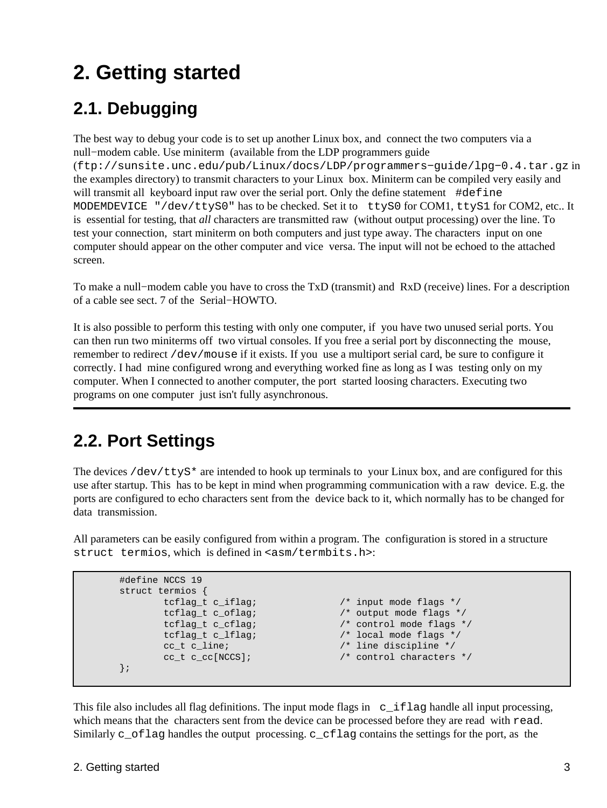# <span id="page-4-0"></span>**2. Getting started**

## **2.1. Debugging**

The best way to debug your code is to set up another Linux box, and connect the two computers via a null−modem cable. Use miniterm (available from the LDP programmers guide (ftp://sunsite.unc.edu/pub/Linux/docs/LDP/programmers−guide/lpg−0.4.tar.gz in the examples directory) to transmit characters to your Linux box. Miniterm can be compiled very easily and will transmit all keyboard input raw over the serial port. Only the define statement #define MODEMDEVICE "/dev/ttyS0" has to be checked. Set it to ttyS0 for COM1, ttyS1 for COM2, etc.. It is essential for testing, that *all* characters are transmitted raw (without output processing) over the line. To test your connection, start miniterm on both computers and just type away. The characters input on one computer should appear on the other computer and vice versa. The input will not be echoed to the attached screen.

To make a null−modem cable you have to cross the TxD (transmit) and RxD (receive) lines. For a description of a cable see sect. 7 of the Serial−HOWTO.

It is also possible to perform this testing with only one computer, if you have two unused serial ports. You can then run two miniterms off two virtual consoles. If you free a serial port by disconnecting the mouse, remember to redirect /dev/mouse if it exists. If you use a multiport serial card, be sure to configure it correctly. I had mine configured wrong and everything worked fine as long as I was testing only on my computer. When I connected to another computer, the port started loosing characters. Executing two programs on one computer just isn't fully asynchronous.

## **2.2. Port Settings**

The devices  $/$ dev $/$ ttyS\* are intended to hook up terminals to your Linux box, and are configured for this use after startup. This has to be kept in mind when programming communication with a raw device. E.g. the ports are configured to echo characters sent from the device back to it, which normally has to be changed for data transmission.

All parameters can be easily configured from within a program. The configuration is stored in a structure struct termios, which is defined in <asm/termbits.h>:

```
 #define NCCS 19
 struct termios {
      tcflag_t c_iflag; /* input mode flags */
      tcflag_t c_oflag; \frac{1}{2} /* output mode flags */
       tcflag_t c_cflag; /* control mode flags */
       tcflag_t c_lflag; /* local mode flags */
       cc_t c_line; /* line discipline */
       cc_t c_cc[NCCS]; /* control characters */
 };
```
This file also includes all flag definitions. The input mode flags in  $c_i$  flag handle all input processing, which means that the characters sent from the device can be processed before they are read with read. Similarly c\_oflag handles the output processing. c\_cflag contains the settings for the port, as the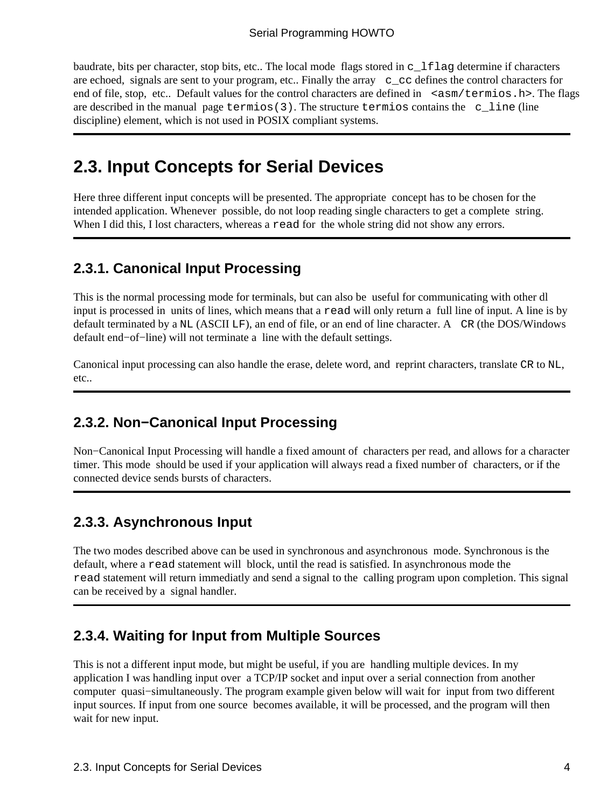<span id="page-5-0"></span>baudrate, bits per character, stop bits, etc.. The local mode flags stored in  $\sigma$  1 flag determine if characters are echoed, signals are sent to your program, etc.. Finally the array c\_cc defines the control characters for end of file, stop, etc.. Default values for the control characters are defined in  $\leq$   $\alpha$ sm/termios.h>. The flags are described in the manual page  $\text{termios}(3)$ . The structure termios contains the c\_line (line discipline) element, which is not used in POSIX compliant systems.

## **2.3. Input Concepts for Serial Devices**

Here three different input concepts will be presented. The appropriate concept has to be chosen for the intended application. Whenever possible, do not loop reading single characters to get a complete string. When I did this, I lost characters, whereas a read for the whole string did not show any errors.

#### **2.3.1. Canonical Input Processing**

This is the normal processing mode for terminals, but can also be useful for communicating with other dl input is processed in units of lines, which means that a read will only return a full line of input. A line is by default terminated by a NL (ASCII LF), an end of file, or an end of line character. A CR (the DOS/Windows default end−of−line) will not terminate a line with the default settings.

Canonical input processing can also handle the erase, delete word, and reprint characters, translate CR to NL, etc..

#### **2.3.2. Non−Canonical Input Processing**

Non−Canonical Input Processing will handle a fixed amount of characters per read, and allows for a character timer. This mode should be used if your application will always read a fixed number of characters, or if the connected device sends bursts of characters.

#### **2.3.3. Asynchronous Input**

The two modes described above can be used in synchronous and asynchronous mode. Synchronous is the default, where a read statement will block, until the read is satisfied. In asynchronous mode the read statement will return immediatly and send a signal to the calling program upon completion. This signal can be received by a signal handler.

#### **2.3.4. Waiting for Input from Multiple Sources**

This is not a different input mode, but might be useful, if you are handling multiple devices. In my application I was handling input over a TCP/IP socket and input over a serial connection from another computer quasi−simultaneously. The program example given below will wait for input from two different input sources. If input from one source becomes available, it will be processed, and the program will then wait for new input.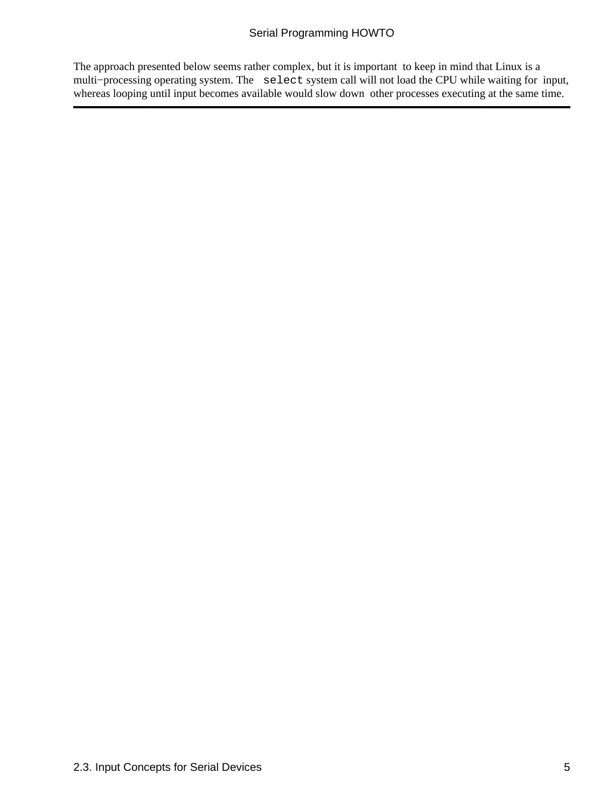#### Serial Programming HOWTO

The approach presented below seems rather complex, but it is important to keep in mind that Linux is a multi−processing operating system. The select system call will not load the CPU while waiting for input, whereas looping until input becomes available would slow down other processes executing at the same time.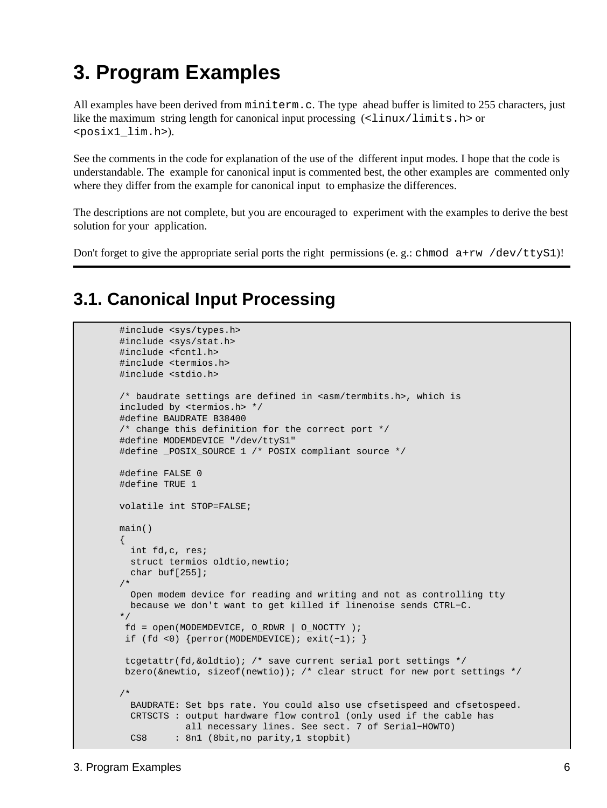## <span id="page-7-0"></span>**3. Program Examples**

All examples have been derived from miniterm.c. The type ahead buffer is limited to 255 characters, just like the maximum string length for canonical input processing  $\left(\text{$ <posix1\_lim.h>).

See the comments in the code for explanation of the use of the different input modes. I hope that the code is understandable. The example for canonical input is commented best, the other examples are commented only where they differ from the example for canonical input to emphasize the differences.

The descriptions are not complete, but you are encouraged to experiment with the examples to derive the best solution for your application.

Don't forget to give the appropriate serial ports the right permissions (e. g.: chmod  $a+rw /dev/ttyS1$ )!

### **3.1. Canonical Input Processing**

```
 #include <sys/types.h>
         #include <sys/stat.h>
         #include <fcntl.h>
         #include <termios.h>
         #include <stdio.h>
        /* baudrate settings are defined in <asm/termbits.h>, which is
         included by <termios.h> */
         #define BAUDRATE B38400 
         /* change this definition for the correct port */
         #define MODEMDEVICE "/dev/ttyS1"
         #define _POSIX_SOURCE 1 /* POSIX compliant source */
         #define FALSE 0
         #define TRUE 1
         volatile int STOP=FALSE; 
         main()
\left\{ \begin{array}{c} 1 & 0 \\ 0 & 1 \end{array} \right\} int fd,c, res;
           struct termios oldtio,newtio;
           char buf[255];
 /* 
           Open modem device for reading and writing and not as controlling tty
           because we don't want to get killed if linenoise sends CTRL−C.
         */
         fd = open(MODEMDEVICE, ORDWR | ONOCTTY ); if (fd <0) {perror(MODEMDEVICE); exit(−1); }
          tcgetattr(fd,&oldtio); /* save current serial port settings */
          bzero(&newtio, sizeof(newtio)); /* clear struct for new port settings */
         /* 
           BAUDRATE: Set bps rate. You could also use cfsetispeed and cfsetospeed.
           CRTSCTS : output hardware flow control (only used if the cable has
                      all necessary lines. See sect. 7 of Serial−HOWTO)
          CS8 : 8n1 (8bit, no parity, 1 stopbit)
```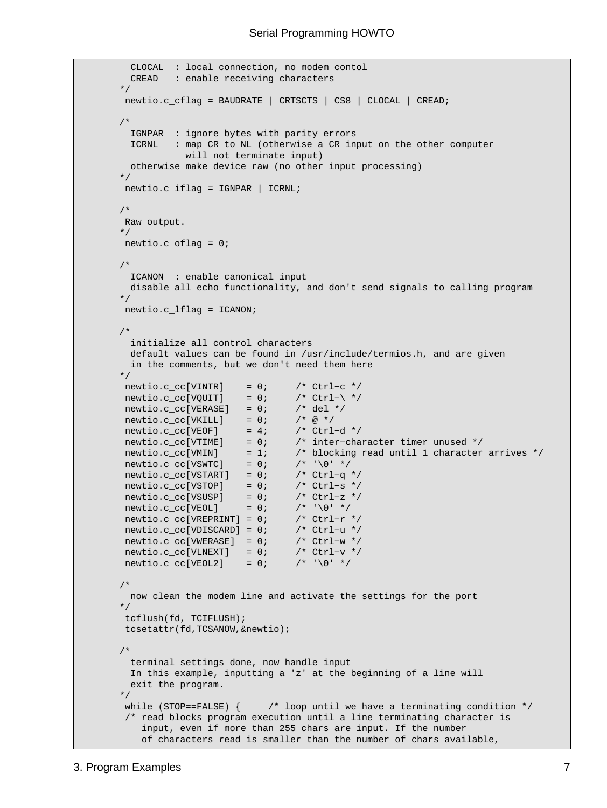```
 CLOCAL : local connection, no modem contol
           CREAD : enable receiving characters
         */
         newtio.c_cflag = BAUDRATE | CRTSCTS | CS8 | CLOCAL | CREAD;
 /*
          IGNPAR : ignore bytes with parity errors
           ICRNL : map CR to NL (otherwise a CR input on the other computer
                     will not terminate input)
           otherwise make device raw (no other input processing)
         */
          newtio.c_iflag = IGNPAR | ICRNL;
         /*
          Raw output.
         */
         newtio.c_oflag = 0;
         /*
          ICANON : enable canonical input
          disable all echo functionality, and don't send signals to calling program
         */
         newtio.c_lflag = ICANON;
         /* 
           initialize all control characters 
           default values can be found in /usr/include/termios.h, and are given
           in the comments, but we don't need them here
         */
         newtio.c\_cc[VINTR] = 0; /* Ctrl-c */
         newtio.c\_cc[VQUIT] = 0; /* Ctrl-\ */
         newtio.c\_cc[VERASE] = 0; /* del */
        newtio.c_cc[VKILL] = 0; /* @ */
        newtio.c\_cc[VEOF] = 4; /* Ctrl-d */
                                         /* inter-character timer unused */
                                         /* blocking read until 1 character arrives */
        \begin{array}{lllll} {\tt newtio.c\_cc[VTIME]} & = & 0; & \text{ /* inter--c} \\ {\tt newtio.c\_cc[VMIN]} & = & 1; & \text{ /* blockin} \\ {\tt newtio.c\_cc[VSWTC]} & = & 0; & \text{ /* '}\0' & \text{ */}} \end{array} newtio.c_cc[VSTART] = 0; /* Ctrl−q */ 
 newtio.c_cc[VSTOP] = 0; /* Ctrl−s */
 newtio.c_cc[VSUSP] = 0; /* Ctrl−z */
newtio.c\_cc[VEOL] = 0; /* '\0' */ newtio.c_cc[VREPRINT] = 0; /* Ctrl−r */
         newtio.c_cc[VDISCARD] = 0; /* Ctrl−u */
         newtio.c_cc[VWERASE] = 0; /* Ctrl−w */
        newtio.c_cc[VLNEXT] = 0; /* Ctrl-v */
        newtio.c\_cc[VEOL2] = 0; /* \sqrt{0! *} /* 
          now clean the modem line and activate the settings for the port
         */
          tcflush(fd, TCIFLUSH);
          tcsetattr(fd,TCSANOW,&newtio);
         /*
           terminal settings done, now handle input
           In this example, inputting a 'z' at the beginning of a line will 
           exit the program.
         */
         while (STOP==FALSE) \{ /* loop until we have a terminating condition */
          /* read blocks program execution until a line terminating character is 
             input, even if more than 255 chars are input. If the number
             of characters read is smaller than the number of chars available,
```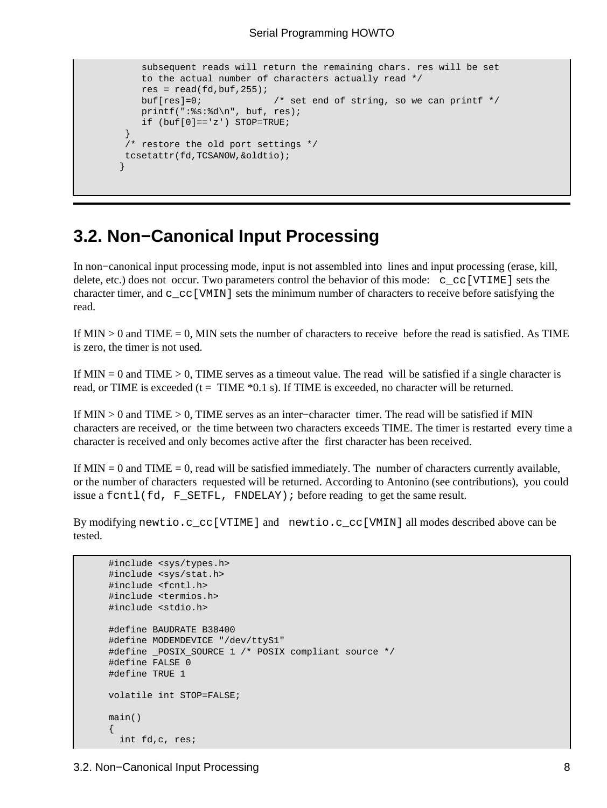```
 subsequent reads will return the remaining chars. res will be set
            to the actual number of characters actually read */
           res = read(fd, but f, 255);
            buf[res]=0; /* set end of string, so we can printf */
            printf(":%s:%d\n", buf, res);
           if (buf[0]=-'z') STOP=TRUE;
 }
         /* restore the old port settings */
         tcsetattr(fd,TCSANOW,&oldtio);
 }
```
### **3.2. Non−Canonical Input Processing**

In non−canonical input processing mode, input is not assembled into lines and input processing (erase, kill, delete, etc.) does not occur. Two parameters control the behavior of this mode: c\_cc[VTIME] sets the character timer, and  $c_{cc}$  [VMIN] sets the minimum number of characters to receive before satisfying the read.

If  $MIN > 0$  and  $TIME = 0$ . MIN sets the number of characters to receive before the read is satisfied. As TIME is zero, the timer is not used.

If  $MIN = 0$  and  $TIME > 0$ , TIME serves as a timeout value. The read will be satisfied if a single character is read, or TIME is exceeded ( $t = TIME *0.1$  s). If TIME is exceeded, no character will be returned.

If MIN > 0 and TIME > 0, TIME serves as an inter−character timer. The read will be satisfied if MIN characters are received, or the time between two characters exceeds TIME. The timer is restarted every time a character is received and only becomes active after the first character has been received.

If  $MIN = 0$  and  $TIME = 0$ , read will be satisfied immediately. The number of characters currently available, or the number of characters requested will be returned. According to Antonino (see contributions), you could issue a fcntl(fd, F SETFL, FNDELAY); before reading to get the same result.

By modifying newtio.c\_cc[VTIME] and newtio.c\_cc[VMIN] all modes described above can be tested.

```
 #include <sys/types.h>
 #include <sys/stat.h>
 #include <fcntl.h>
 #include <termios.h>
 #include <stdio.h>
 #define BAUDRATE B38400
 #define MODEMDEVICE "/dev/ttyS1"
 #define _POSIX_SOURCE 1 /* POSIX compliant source */
 #define FALSE 0
 #define TRUE 1
 volatile int STOP=FALSE; 
 main()
 {
   int fd,c, res;
```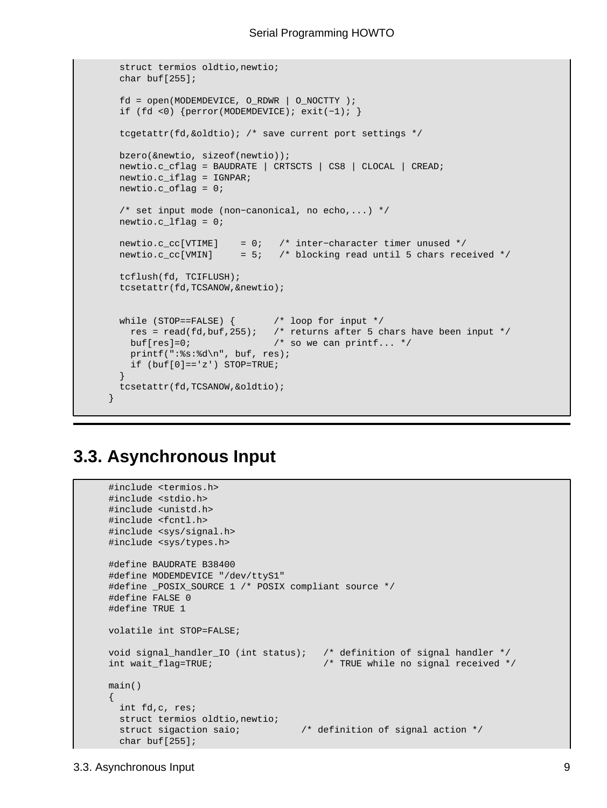```
 struct termios oldtio,newtio;
  char buf[255];
  fd = open(MODEMDEVICE, O_RDWR | O_NOCTTY ); 
  if (fd <0) {perror(MODEMDEVICE); exit(−1); }
   tcgetattr(fd,&oldtio); /* save current port settings */
  bzero(&newtio, sizeof(newtio));
  newtio.c_cflag = BAUDRATE | CRTSCTS | CS8 | CLOCAL | CREAD;
  newtio.c_iflag = IGNPAR;
  newtio.c_oflag = 0;
   /* set input mode (non−canonical, no echo,...) */
  newtio.c_lflag = 0;
  newtio.c_cc[VTIME] = 0; /* inter−character timer unused */
  newtio.c_cc[VMIN] = 5; /* blocking read until 5 chars received */
  tcflush(fd, TCIFLUSH);
  tcsetattr(fd,TCSANOW,&newtio);
 while (STOP==FALSE) { \prime /* loop for input */
    res = read(fd,buf,255); /* returns after 5 chars have been input */
   buf[res]=0; \frac{1}{2} /* so we can printf... */
    printf(":%s:%d\n", buf, res);
   if (buf[0]=-z') STOP=TRUE;
  }
  tcsetattr(fd,TCSANOW,&oldtio);
 }
```
### **3.3. Asynchronous Input**

```
 #include <termios.h>
 #include <stdio.h>
 #include <unistd.h>
 #include <fcntl.h>
 #include <sys/signal.h>
 #include <sys/types.h>
 #define BAUDRATE B38400
 #define MODEMDEVICE "/dev/ttyS1"
 #define _POSIX_SOURCE 1 /* POSIX compliant source */
 #define FALSE 0
 #define TRUE 1
 volatile int STOP=FALSE; 
 void signal_handler_IO (int status); /* definition of signal handler */
int wait_flag=TRUE; \frac{1}{2} /* TRUE while no signal received */
 main()
 {
   int fd,c, res;
  struct termios oldtio,newtio;
   struct sigaction saio; /* definition of signal action */
   char buf[255];
```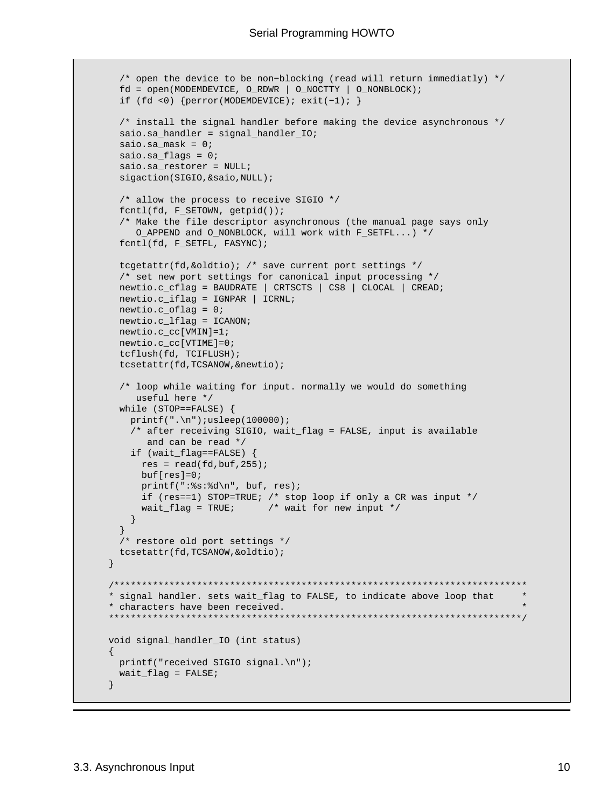```
 /* open the device to be non−blocking (read will return immediatly) */
         fd = open(MODEMDEVICE, O_RDWR | O_NOCTTY | O_NONBLOCK);
         if (fd <0) {perror(MODEMDEVICE); exit(−1); }
         /* install the signal handler before making the device asynchronous */
         saio.sa_handler = signal_handler_IO;
         saio.sa_mask = 0;
         saio.sa_flags = 0;
         saio.sa_restorer = NULL;
         sigaction(SIGIO,&saio,NULL);
         /* allow the process to receive SIGIO */
         fcntl(fd, F_SETOWN, getpid());
         /* Make the file descriptor asynchronous (the manual page says only 
            O_APPEND and O_NONBLOCK, will work with F_SETFL...) */
         fcntl(fd, F_SETFL, FASYNC);
         tcgetattr(fd,&oldtio); /* save current port settings */
         /* set new port settings for canonical input processing */
        newtio.c_cflag = BAUDRATE | CRTSCTS | CS8 | CLOCAL | CREAD;
        newtio.c_iflag = IGNPAR | ICRNL;
        newtio.c_oflag = 0;
        newtio.c_lflag = ICANON;
        newtio.c_cc[VMIN]=1;
        newtio.c_cc[VTIME]=0;
         tcflush(fd, TCIFLUSH);
         tcsetattr(fd,TCSANOW,&newtio);
         /* loop while waiting for input. normally we would do something
            useful here */ 
         while (STOP==FALSE) {
         printf(".\n'):usleep(100000); /* after receiving SIGIO, wait_flag = FALSE, input is available
             and can be read */
           if (wait_flag==FALSE) { 
           res = read(fd, but f, 255); buf[res]=0;
            printf(":%s:%d\n", buf, res);
            if (res==1) STOP=TRUE; /* stop loop if only a CR was input */
            wait_flag = TRUE; \frac{1}{2} /* wait for new input */
          }
 }
        /* restore old port settings */
        tcsetattr(fd,TCSANOW,&oldtio);
       }
       /***************************************************************************
       * signal handler. sets wait_flag to FALSE, to indicate above loop that *
       * characters have been received. *
       ***************************************************************************/
      void signal_handler_IO (int status)
       {
       printf("received SIGIO signal.\n");
        wait_flag = FALSE;
       }
```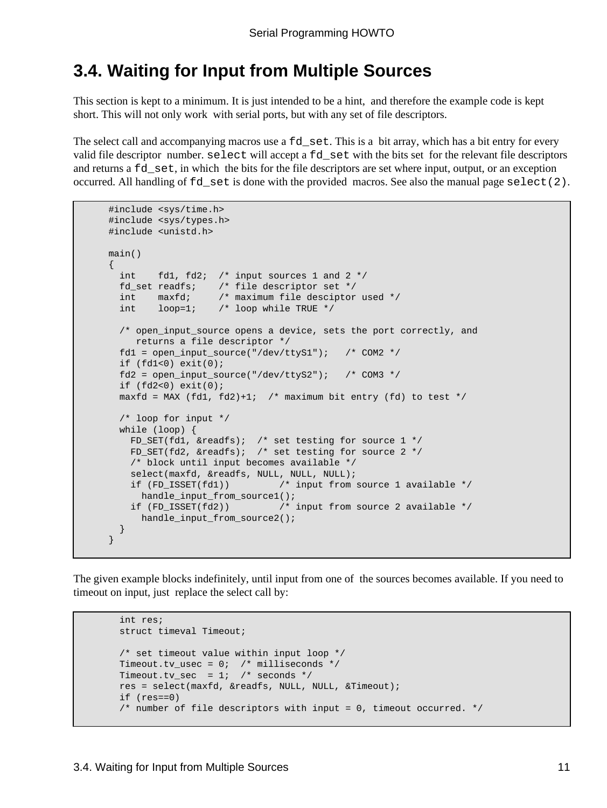### <span id="page-12-0"></span>**3.4. Waiting for Input from Multiple Sources**

This section is kept to a minimum. It is just intended to be a hint, and therefore the example code is kept short. This will not only work with serial ports, but with any set of file descriptors.

The select call and accompanying macros use a fd\_set. This is a bit array, which has a bit entry for every valid file descriptor number. select will accept a fd\_set with the bits set for the relevant file descriptors and returns a fd\_set, in which the bits for the file descriptors are set where input, output, or an exception occurred. All handling of fd\_set is done with the provided macros. See also the manual page select(2).

```
 #include <sys/time.h>
 #include <sys/types.h>
 #include <unistd.h>
 main()
 {
  int fd1, fd2; /* input sources 1 and 2 */ fd_set readfs; /* file descriptor set */
  int maxfd; /* maximum file desciptor used */
  int loop=1; /* loop while TRUE */ 
  /* open_input_source opens a device, sets the port correctly, and
     returns a file descriptor */
  fd1 = open_input_source("/dev/ttyS1"); /* COM2 */
  if (fd1<0) exit(0);
   fd2 = open_input_source("/dev/ttyS2"); /* COM3 */
  if (fd2<0) exit(0);
  maxfd = MAX (fd1, fd2)+1; /* maximum bit entry (fd) to test */
   /* loop for input */
  while (loop) {
    FD_SET(fd1, &readfs); /* set testing for source 1 */
    FD SET(fd2, &readfs); /* set testing for source 2 \times/
    /* block until input becomes available */
     select(maxfd, &readfs, NULL, NULL, NULL);
    if (FD_ISSET(fd1)) /* input from source 1 available */
     handle_input_from_source1();
   if (FD ISSET(fd2)) \qquad /* input from source 2 available */
      handle_input_from_source2();
  }
 }
```
The given example blocks indefinitely, until input from one of the sources becomes available. If you need to timeout on input, just replace the select call by:

```
 int res;
 struct timeval Timeout;
 /* set timeout value within input loop */
 Timeout.tv_usec = 0; /* milliseconds */
Timeout.tv sec = 1; /* seconds */
 res = select(maxfd, &readfs, NULL, NULL, &Timeout);
 if (res==0)
 /* number of file descriptors with input = 0, timeout occurred. */
```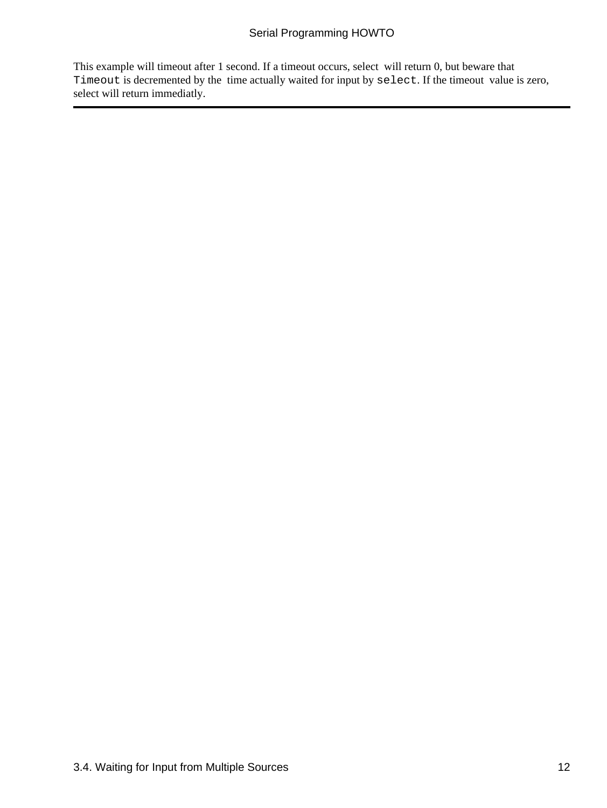#### Serial Programming HOWTO

This example will timeout after 1 second. If a timeout occurs, select will return 0, but beware that Timeout is decremented by the time actually waited for input by select. If the timeout value is zero, select will return immediatly.